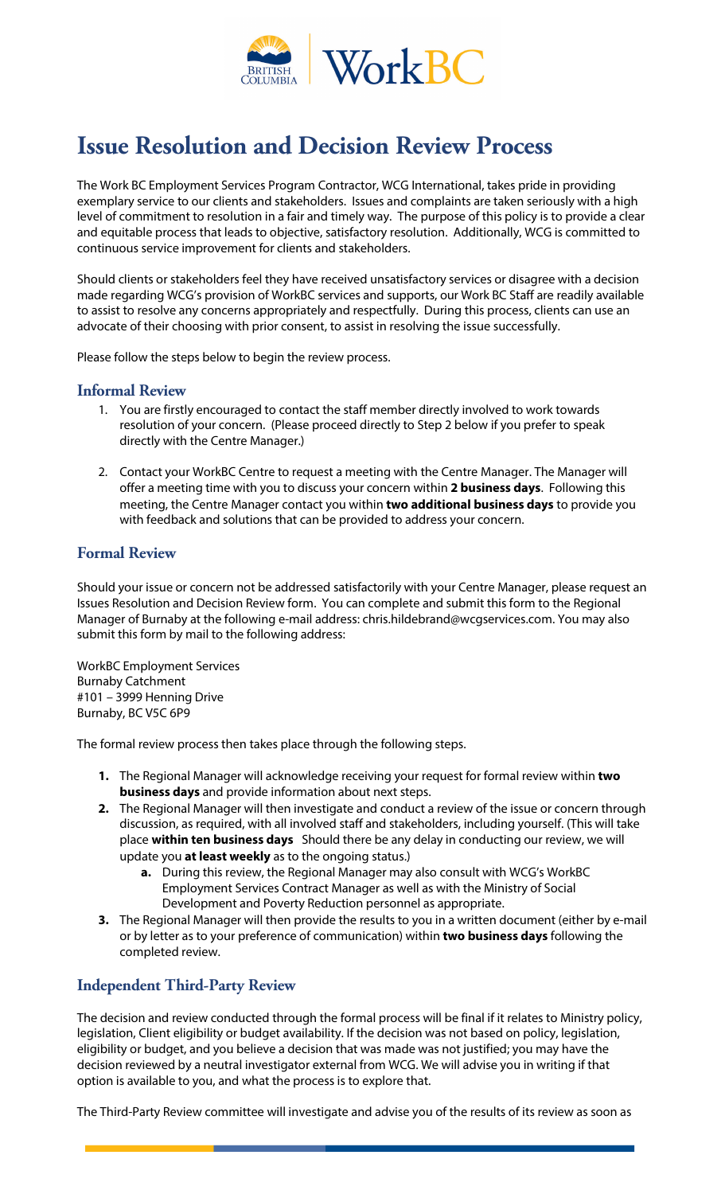

# **Issue Resolution and Decision Review Process**

The Work BC Employment Services Program Contractor, WCG International, takes pride in providing exemplary service to our clients and stakeholders. Issues and complaints are taken seriously with a high level of commitment to resolution in a fair and timely way. The purpose of this policy is to provide a clear and equitable process that leads to objective, satisfactory resolution. Additionally, WCG is committed to continuous service improvement for clients and stakeholders.

Should clients or stakeholders feel they have received unsatisfactory services or disagree with a decision made regarding WCG's provision of WorkBC services and supports, our Work BC Staff are readily available to assist to resolve any concerns appropriately and respectfully. During this process, clients can use an advocate of their choosing with prior consent, to assist in resolving the issue successfully.

Please follow the steps below to begin the review process.

#### **Informal Review**

- 1. You are firstly encouraged to contact the staff member directly involved to work towards resolution of your concern. (Please proceed directly to Step 2 below if you prefer to speak directly with the Centre Manager.)
- 2. Contact your WorkBC Centre to request a meeting with the Centre Manager. The Manager will offer a meeting time with you to discuss your concern within **2 business days**. Following this meeting, the Centre Manager contact you within **two additional business days** to provide you with feedback and solutions that can be provided to address your concern.

### **Formal Review**

Should your issue or concern not be addressed satisfactorily with your Centre Manager, please request an Issues Resolution and Decision Review form. You can complete and submit this form to the Regional Manager of Burnaby at the following e-mail address: chris.hildebrand@wcgservices.com. You may also submit this form by mail to the following address:

WorkBC Employment Services Burnaby Catchment #101 – 3999 Henning Drive Burnaby, BC V5C 6P9

The formal review process then takes place through the following steps.

- **1.** The Regional Manager will acknowledge receiving your request for formal review within **two business days** and provide information about next steps.
- **2.** The Regional Manager will then investigate and conduct a review of the issue or concern through discussion, as required, with all involved staff and stakeholders, including yourself. (This will take place **within ten business days** Should there be any delay in conducting our review, we will update you **at least weekly** as to the ongoing status.)
	- **a.** During this review, the Regional Manager may also consult with WCG's WorkBC Employment Services Contract Manager as well as with the Ministry of Social Development and Poverty Reduction personnel as appropriate.
- **3.** The Regional Manager will then provide the results to you in a written document (either by e-mail or by letter as to your preference of communication) within **two business days** following the completed review.

# **Independent Third-Party Review**

The decision and review conducted through the formal process will be final if it relates to Ministry policy, legislation, Client eligibility or budget availability. If the decision was not based on policy, legislation, eligibility or budget, and you believe a decision that was made was not justified; you may have the decision reviewed by a neutral investigator external from WCG. We will advise you in writing if that option is available to you, and what the process is to explore that.

The Third-Party Review committee will investigate and advise you of the results of its review as soon as